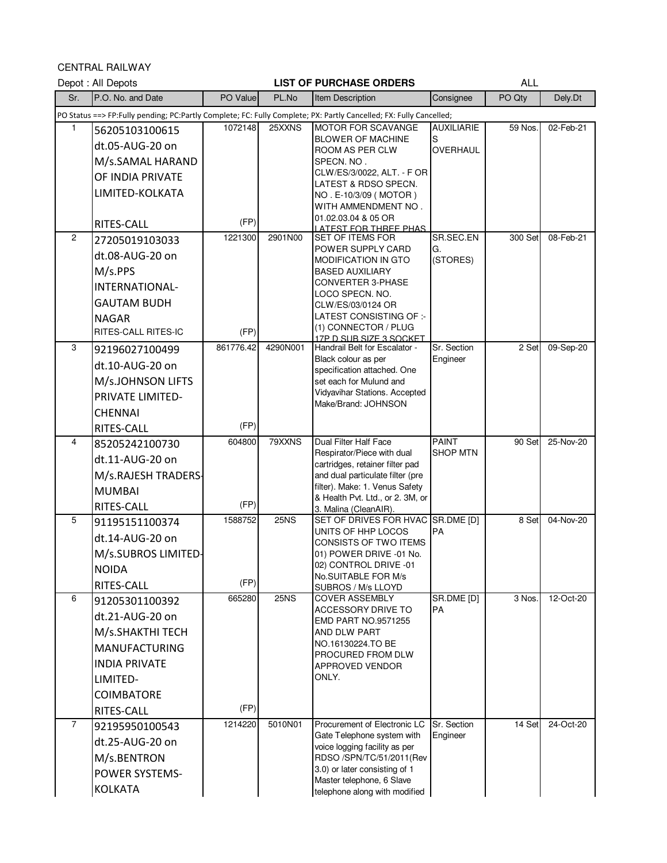CENTRAL RAILWAY

|                | ULIVINAL NAILWAI<br>Depot: All Depots |                 |             | <b>LIST OF PURCHASE ORDERS</b>                                                                                     |                      | <b>ALL</b> |           |
|----------------|---------------------------------------|-----------------|-------------|--------------------------------------------------------------------------------------------------------------------|----------------------|------------|-----------|
| Sr.            | P.O. No. and Date                     | PO Value        | PL.No       | Item Description                                                                                                   | Consignee            | PO Qty     | Dely.Dt   |
|                |                                       |                 |             | PO Status ==> FP:Fully pending; PC:Partly Complete; FC: Fully Complete; PX: Partly Cancelled; FX: Fully Cancelled; |                      |            |           |
| 1              | 56205103100615                        | 1072148         | 25XXNS      | <b>MOTOR FOR SCAVANGE</b>                                                                                          | <b>AUXILIARIE</b>    | 59 Nos.    | 02-Feb-21 |
|                | dt.05-AUG-20 on                       |                 |             | <b>BLOWER OF MACHINE</b><br>ROOM AS PER CLW                                                                        | S<br><b>OVERHAUL</b> |            |           |
|                | M/s.SAMAL HARAND                      |                 |             | SPECN. NO .                                                                                                        |                      |            |           |
|                | OF INDIA PRIVATE                      |                 |             | CLW/ES/3/0022, ALT. - F OR                                                                                         |                      |            |           |
|                | LIMITED-KOLKATA                       |                 |             | LATEST & RDSO SPECN.<br>NO. E-10/3/09 (MOTOR)                                                                      |                      |            |           |
|                |                                       |                 |             | WITH AMMENDMENT NO.                                                                                                |                      |            |           |
|                | RITES-CALL                            | (FP)            |             | 01.02.03.04 & 05 OR                                                                                                |                      |            |           |
| $\overline{2}$ | 27205019103033                        | 1221300         | 2901N00     | <u>I ATEST FOR THREE PHAS</u><br><b>SET OF ITEMS FOR</b>                                                           | SR.SEC.EN            | 300 Set    | 08-Feb-21 |
|                | dt.08-AUG-20 on                       |                 |             | POWER SUPPLY CARD                                                                                                  | G.<br>(STORES)       |            |           |
|                | M/s.PPS                               |                 |             | <b>MODIFICATION IN GTO</b><br><b>BASED AUXILIARY</b>                                                               |                      |            |           |
|                | INTERNATIONAL-                        |                 |             | CONVERTER 3-PHASE                                                                                                  |                      |            |           |
|                | <b>GAUTAM BUDH</b>                    |                 |             | LOCO SPECN. NO.<br>CLW/ES/03/0124 OR                                                                               |                      |            |           |
|                | <b>NAGAR</b>                          |                 |             | LATEST CONSISTING OF :-                                                                                            |                      |            |           |
|                | RITES-CALL RITES-IC                   | (FP)            |             | (1) CONNECTOR / PLUG                                                                                               |                      |            |           |
| 3              | 92196027100499                        | 861776.42       | 4290N001    | 17P D SUB SIZE 3 SOCKET<br>Handrail Belt for Escalator -                                                           | Sr. Section          | 2 Set      | 09-Sep-20 |
|                | dt.10-AUG-20 on                       |                 |             | Black colour as per                                                                                                | Engineer             |            |           |
|                | M/s.JOHNSON LIFTS                     |                 |             | specification attached. One<br>set each for Mulund and                                                             |                      |            |           |
|                | PRIVATE LIMITED-                      |                 |             | Vidyavihar Stations. Accepted                                                                                      |                      |            |           |
|                | <b>CHENNAI</b>                        |                 |             | Make/Brand: JOHNSON                                                                                                |                      |            |           |
|                | RITES-CALL                            | (FP)            |             |                                                                                                                    |                      |            |           |
| 4              | 85205242100730                        | 604800          | 79XXNS      | Dual Filter Half Face                                                                                              | <b>PAINT</b>         | 90 Set     | 25-Nov-20 |
|                | dt.11-AUG-20 on                       |                 |             | Respirator/Piece with dual                                                                                         | <b>SHOP MTN</b>      |            |           |
|                | M/s.RAJESH TRADERS-                   |                 |             | cartridges, retainer filter pad<br>and dual particulate filter (pre                                                |                      |            |           |
|                | <b>MUMBAI</b>                         |                 |             | filter). Make: 1. Venus Safety                                                                                     |                      |            |           |
|                | RITES-CALL                            | (FP)            |             | & Health Pvt. Ltd., or 2. 3M, or                                                                                   |                      |            |           |
| 5              | 91195151100374                        | 1588752         | <b>25NS</b> | 3. Malina (CleanAIR).<br>SET OF DRIVES FOR HVAC SR.DME [D]                                                         |                      | 8 Set      | 04-Nov-20 |
|                | dt.14-AUG-20 on                       |                 |             | UNITS OF HHP LOCOS                                                                                                 | <b>PA</b>            |            |           |
|                | M/s.SUBROS LIMITED-                   |                 |             | <b>CONSISTS OF TWO ITEMS</b><br>01) POWER DRIVE -01 No.                                                            |                      |            |           |
|                |                                       |                 |             | 02) CONTROL DRIVE -01                                                                                              |                      |            |           |
|                | <b>NOIDA</b><br>RITES-CALL            | (FP)            |             | No.SUITABLE FOR M/s                                                                                                |                      |            |           |
| 6              | 91205301100392                        | 665280          | <b>25NS</b> | SUBROS / M/s LLOYD<br><b>COVER ASSEMBLY</b>                                                                        | SR.DME [D]           | 3 Nos.     | 12-Oct-20 |
|                | dt.21-AUG-20 on                       |                 |             | ACCESSORY DRIVE TO                                                                                                 | <b>PA</b>            |            |           |
|                |                                       |                 |             | <b>EMD PART NO.9571255</b>                                                                                         |                      |            |           |
|                | M/s.SHAKTHI TECH                      |                 |             | AND DLW PART<br>NO.16130224.TO BE                                                                                  |                      |            |           |
|                | <b>MANUFACTURING</b>                  |                 |             | PROCURED FROM DLW                                                                                                  |                      |            |           |
|                | <b>INDIA PRIVATE</b>                  |                 |             | APPROVED VENDOR<br>ONLY.                                                                                           |                      |            |           |
|                | LIMITED-                              |                 |             |                                                                                                                    |                      |            |           |
|                | <b>COIMBATORE</b>                     |                 |             |                                                                                                                    |                      |            |           |
| $\overline{7}$ | RITES-CALL                            | (FP)<br>1214220 | 5010N01     | Procurement of Electronic LC                                                                                       | Sr. Section          | 14 Set     | 24-Oct-20 |
|                | 92195950100543                        |                 |             | Gate Telephone system with                                                                                         | Engineer             |            |           |
|                | dt.25-AUG-20 on                       |                 |             | voice logging facility as per                                                                                      |                      |            |           |
|                | M/s.BENTRON                           |                 |             | RDSO /SPN/TC/51/2011(Rev<br>3.0) or later consisting of 1                                                          |                      |            |           |
|                | <b>POWER SYSTEMS-</b>                 |                 |             | Master telephone, 6 Slave                                                                                          |                      |            |           |
|                | <b>KOLKATA</b>                        |                 |             | telephone along with modified                                                                                      |                      |            |           |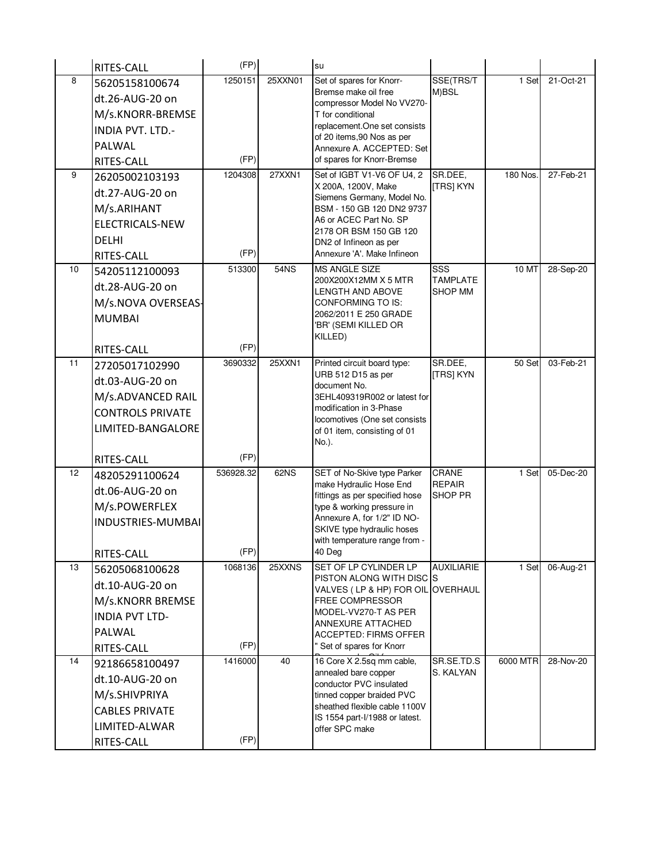|    | RITES-CALL              | (FP)      |         | su                                                             |                                   |          |           |
|----|-------------------------|-----------|---------|----------------------------------------------------------------|-----------------------------------|----------|-----------|
| 8  | 56205158100674          | 1250151   | 25XXN01 | Set of spares for Knorr-                                       | SSE(TRS/T                         | 1 Set    | 21-Oct-21 |
|    | dt.26-AUG-20 on         |           |         | Bremse make oil free<br>compressor Model No VV270-             | M)BSL                             |          |           |
|    | M/s.KNORR-BREMSE        |           |         | T for conditional                                              |                                   |          |           |
|    | INDIA PVT. LTD.-        |           |         | replacement.One set consists                                   |                                   |          |           |
|    | PALWAL                  |           |         | of 20 items, 90 Nos as per<br>Annexure A. ACCEPTED: Set        |                                   |          |           |
|    | RITES-CALL              | (FP)      |         | of spares for Knorr-Bremse                                     |                                   |          |           |
| 9  | 26205002103193          | 1204308   | 27XXN1  | Set of IGBT V1-V6 OF U4, 2                                     | SR.DEE,                           | 180 Nos. | 27-Feb-21 |
|    | dt.27-AUG-20 on         |           |         | X 200A, 1200V, Make<br>Siemens Germany, Model No.              | <b>[TRS] KYN</b>                  |          |           |
|    | M/s.ARIHANT             |           |         | BSM - 150 GB 120 DN2 9737                                      |                                   |          |           |
|    | <b>ELECTRICALS-NEW</b>  |           |         | A6 or ACEC Part No. SP                                         |                                   |          |           |
|    | <b>DELHI</b>            |           |         | 2178 OR BSM 150 GB 120<br>DN2 of Infineon as per               |                                   |          |           |
|    | RITES-CALL              | (FP)      |         | Annexure 'A'. Make Infineon                                    |                                   |          |           |
| 10 | 54205112100093          | 513300    | 54NS    | <b>MS ANGLE SIZE</b>                                           | SSS                               | 10 MT    | 28-Sep-20 |
|    | dt.28-AUG-20 on         |           |         | 200X200X12MM X 5 MTR<br><b>LENGTH AND ABOVE</b>                | <b>TAMPLATE</b><br><b>SHOP MM</b> |          |           |
|    | M/s.NOVA OVERSEAS-      |           |         | CONFORMING TO IS:                                              |                                   |          |           |
|    | <b>MUMBAI</b>           |           |         | 2062/2011 E 250 GRADE                                          |                                   |          |           |
|    |                         |           |         | 'BR' (SEMI KILLED OR<br>KILLED)                                |                                   |          |           |
|    | RITES-CALL              | (FP)      |         |                                                                |                                   |          |           |
| 11 | 27205017102990          | 3690332   | 25XXN1  | Printed circuit board type:                                    | SR.DEE,                           | 50 Set   | 03-Feb-21 |
|    | dt.03-AUG-20 on         |           |         | URB 512 D15 as per<br>document No.                             | [TRS] KYN                         |          |           |
|    | M/s.ADVANCED RAIL       |           |         | 3EHL409319R002 or latest for                                   |                                   |          |           |
|    | <b>CONTROLS PRIVATE</b> |           |         | modification in 3-Phase                                        |                                   |          |           |
|    | LIMITED-BANGALORE       |           |         | locomotives (One set consists<br>of 01 item, consisting of 01  |                                   |          |           |
|    |                         |           |         | No.).                                                          |                                   |          |           |
|    | RITES-CALL              | (FP)      |         |                                                                |                                   |          |           |
| 12 | 48205291100624          | 536928.32 | 62NS    | SET of No-Skive type Parker                                    | CRANE                             | 1 Set    | 05-Dec-20 |
|    | dt.06-AUG-20 on         |           |         | make Hydraulic Hose End<br>fittings as per specified hose      | <b>REPAIR</b><br><b>SHOP PR</b>   |          |           |
|    | M/s.POWERFLEX           |           |         | type & working pressure in                                     |                                   |          |           |
|    | INDUSTRIES-MUMBAI       |           |         | Annexure A, for 1/2" ID NO-<br>SKIVE type hydraulic hoses      |                                   |          |           |
|    |                         |           |         | with temperature range from -                                  |                                   |          |           |
|    | RITES-CALL              | (FP)      |         | 40 Deg                                                         |                                   |          |           |
| 13 | 56205068100628          | 1068136   | 25XXNS  | SET OF LP CYLINDER LP                                          | <b>AUXILIARIE</b>                 | 1 Set    | 06-Aug-21 |
|    | dt.10-AUG-20 on         |           |         | PISTON ALONG WITH DISC IS<br>VALVES (LP & HP) FOR OIL OVERHAUL |                                   |          |           |
|    | M/s.KNORR BREMSE        |           |         | <b>FREE COMPRESSOR</b>                                         |                                   |          |           |
|    | <b>INDIA PVT LTD-</b>   |           |         | MODEL-VV270-T AS PER<br>ANNEXURE ATTACHED                      |                                   |          |           |
|    | PALWAL                  |           |         | <b>ACCEPTED: FIRMS OFFER</b>                                   |                                   |          |           |
|    | RITES-CALL              | (FP)      |         | " Set of spares for Knorr                                      |                                   |          |           |
| 14 | 92186658100497          | 1416000   | 40      | 16 Core X 2.5sq mm cable,                                      | SR.SE.TD.S                        | 6000 MTR | 28-Nov-20 |
|    | dt.10-AUG-20 on         |           |         | annealed bare copper<br>conductor PVC insulated                | S. KALYAN                         |          |           |
|    | M/s.SHIVPRIYA           |           |         | tinned copper braided PVC                                      |                                   |          |           |
|    | <b>CABLES PRIVATE</b>   |           |         | sheathed flexible cable 1100V                                  |                                   |          |           |
|    | LIMITED-ALWAR           |           |         | IS 1554 part-I/1988 or latest.<br>offer SPC make               |                                   |          |           |
|    | RITES-CALL              | (FP)      |         |                                                                |                                   |          |           |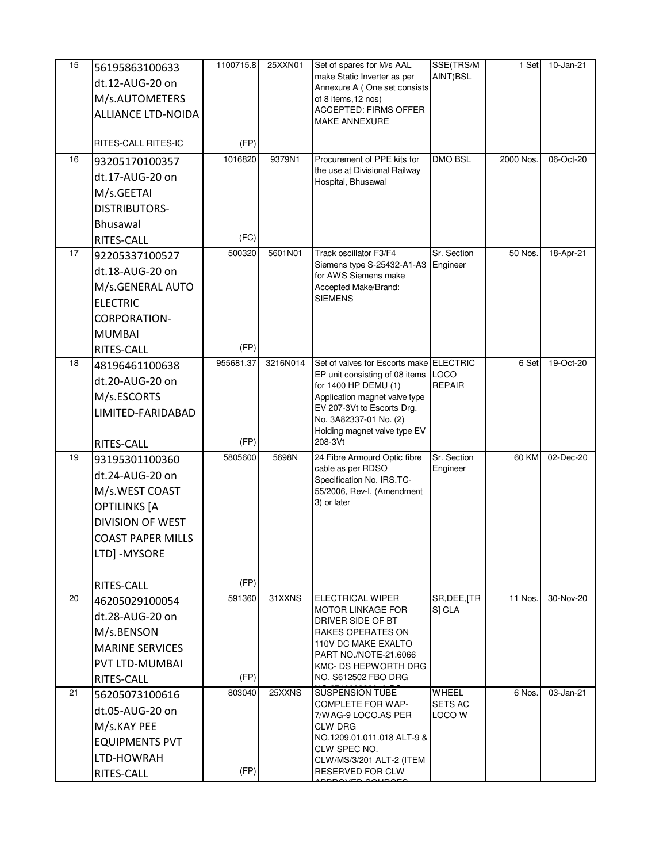| 15 | 56195863100633<br>dt.12-AUG-20 on | 1100715.8         | 25XXN01  | Set of spares for M/s AAL<br>make Static Inverter as per     | SSE(TRS/M<br>AINT)BSL   | 1 Set     | 10-Jan-21 |
|----|-----------------------------------|-------------------|----------|--------------------------------------------------------------|-------------------------|-----------|-----------|
|    | M/s.AUTOMETERS                    |                   |          | Annexure A (One set consists<br>of 8 items, 12 nos)          |                         |           |           |
|    | <b>ALLIANCE LTD-NOIDA</b>         |                   |          | <b>ACCEPTED: FIRMS OFFER</b>                                 |                         |           |           |
|    |                                   |                   |          | <b>MAKE ANNEXURE</b>                                         |                         |           |           |
|    | RITES-CALL RITES-IC               | (FP)              |          |                                                              |                         |           |           |
| 16 | 93205170100357                    | 1016820           | 9379N1   | Procurement of PPE kits for<br>the use at Divisional Railway | DMO BSL                 | 2000 Nos. | 06-Oct-20 |
|    | dt.17-AUG-20 on                   |                   |          | Hospital, Bhusawal                                           |                         |           |           |
|    | M/s.GEETAI                        |                   |          |                                                              |                         |           |           |
|    | <b>DISTRIBUTORS-</b>              |                   |          |                                                              |                         |           |           |
|    | Bhusawal                          |                   |          |                                                              |                         |           |           |
|    | RITES-CALL                        | (FC)              |          |                                                              |                         |           |           |
| 17 | 92205337100527                    | 500320            | 5601N01  | Track oscillator F3/F4<br>Siemens type S-25432-A1-A3         | Sr. Section<br>Engineer | 50 Nos.   | 18-Apr-21 |
|    | dt.18-AUG-20 on                   |                   |          | for AWS Siemens make                                         |                         |           |           |
|    | M/s.GENERAL AUTO                  |                   |          | Accepted Make/Brand:<br><b>SIEMENS</b>                       |                         |           |           |
|    | <b>ELECTRIC</b>                   |                   |          |                                                              |                         |           |           |
|    | <b>CORPORATION-</b>               |                   |          |                                                              |                         |           |           |
|    | <b>MUMBAI</b>                     |                   |          |                                                              |                         |           |           |
| 18 | RITES-CALL                        | (FP)<br>955681.37 | 3216N014 | Set of valves for Escorts make ELECTRIC                      |                         | 6 Set     | 19-Oct-20 |
|    | 48196461100638                    |                   |          | EP unit consisting of 08 items LOCO                          |                         |           |           |
|    | dt.20-AUG-20 on                   |                   |          | for 1400 HP DEMU (1)                                         | <b>REPAIR</b>           |           |           |
|    | M/s.ESCORTS                       |                   |          | Application magnet valve type<br>EV 207-3Vt to Escorts Drg.  |                         |           |           |
|    | LIMITED-FARIDABAD                 |                   |          | No. 3A82337-01 No. (2)                                       |                         |           |           |
|    | RITES-CALL                        | (FP)              |          | Holding magnet valve type EV<br>208-3Vt                      |                         |           |           |
| 19 | 93195301100360                    | 5805600           | 5698N    | 24 Fibre Armourd Optic fibre                                 | Sr. Section             | 60 KM     | 02-Dec-20 |
|    | dt.24-AUG-20 on                   |                   |          | cable as per RDSO<br>Specification No. IRS.TC-               | Engineer                |           |           |
|    | M/s.WEST COAST                    |                   |          | 55/2006, Rev-I, (Amendment                                   |                         |           |           |
|    | <b>OPTILINKS [A</b>               |                   |          | 3) or later                                                  |                         |           |           |
|    | <b>DIVISION OF WEST</b>           |                   |          |                                                              |                         |           |           |
|    | <b>COAST PAPER MILLS</b>          |                   |          |                                                              |                         |           |           |
|    | LTD] -MYSORE                      |                   |          |                                                              |                         |           |           |
|    |                                   |                   |          |                                                              |                         |           |           |
|    | RITES-CALL                        | (FP)              |          |                                                              | SR, DEE, [TR            |           |           |
| 20 | 46205029100054                    | 591360            | 31XXNS   | <b>ELECTRICAL WIPER</b><br><b>MOTOR LINKAGE FOR</b>          | S] CLA                  | 11 Nos.   | 30-Nov-20 |
|    | dt.28-AUG-20 on                   |                   |          | DRIVER SIDE OF BT                                            |                         |           |           |
|    | M/s.BENSON                        |                   |          | RAKES OPERATES ON<br><b>110V DC MAKE EXALTO</b>              |                         |           |           |
|    | <b>MARINE SERVICES</b>            |                   |          | PART NO./NOTE-21.6066                                        |                         |           |           |
|    | PVT LTD-MUMBAI                    | (FP)              |          | KMC- DS HEPWORTH DRG<br>NO. S612502 FBO DRG                  |                         |           |           |
| 21 | RITES-CALL<br>56205073100616      | 803040            | 25XXNS   | <b>SUSPENSION TUBE</b>                                       | WHEEL                   | 6 Nos.    | 03-Jan-21 |
|    | dt.05-AUG-20 on                   |                   |          | <b>COMPLETE FOR WAP-</b>                                     | <b>SETS AC</b>          |           |           |
|    | M/s.KAY PEE                       |                   |          | 7/WAG-9 LOCO.AS PER<br>CLW DRG                               | LOCO W                  |           |           |
|    | <b>EQUIPMENTS PVT</b>             |                   |          | NO.1209.01.011.018 ALT-9 &                                   |                         |           |           |
|    | LTD-HOWRAH                        |                   |          | CLW SPEC NO.<br>CLW/MS/3/201 ALT-2 (ITEM                     |                         |           |           |
|    | RITES-CALL                        | (FP)              |          | RESERVED FOR CLW                                             |                         |           |           |
|    |                                   |                   |          |                                                              |                         |           |           |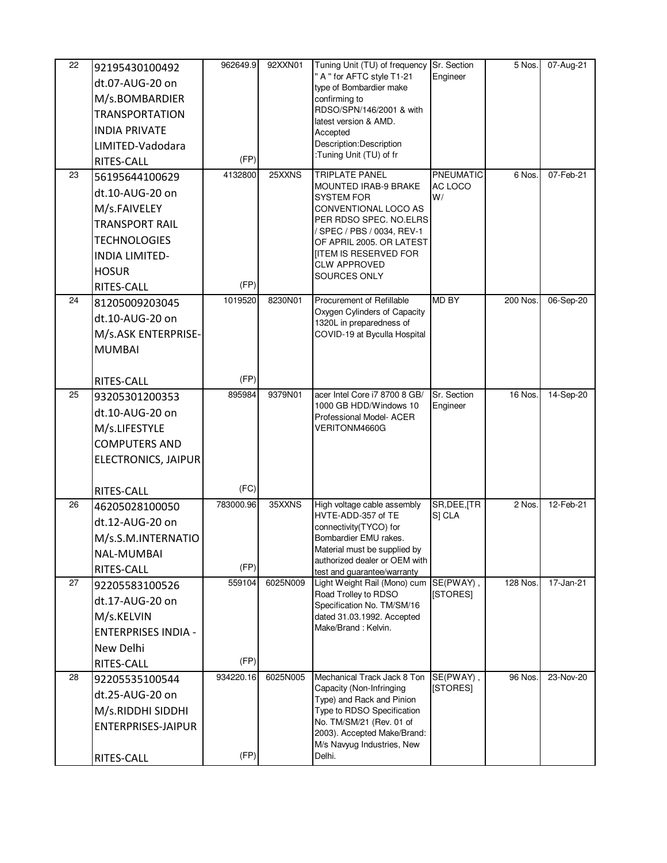| 22 | 92195430100492               | 962649.9  | 92XXN01  | Tuning Unit (TU) of frequency Sr. Section                             |                         | 5 Nos.   | 07-Aug-21 |
|----|------------------------------|-----------|----------|-----------------------------------------------------------------------|-------------------------|----------|-----------|
|    | dt.07-AUG-20 on              |           |          | " A " for AFTC style T1-21                                            | Engineer                |          |           |
|    | M/s.BOMBARDIER               |           |          | type of Bombardier make<br>confirming to                              |                         |          |           |
|    | <b>TRANSPORTATION</b>        |           |          | RDSO/SPN/146/2001 & with                                              |                         |          |           |
|    | <b>INDIA PRIVATE</b>         |           |          | latest version & AMD.<br>Accepted                                     |                         |          |           |
|    | LIMITED-Vadodara             |           |          | Description:Description                                               |                         |          |           |
|    | RITES-CALL                   | (FP)      |          | :Tuning Unit (TU) of fr                                               |                         |          |           |
| 23 | 56195644100629               | 4132800   | 25XXNS   | TRIPLATE PANEL                                                        | PNEUMATIC               | 6 Nos.   | 07-Feb-21 |
|    | dt.10-AUG-20 on              |           |          | <b>MOUNTED IRAB-9 BRAKE</b><br><b>SYSTEM FOR</b>                      | AC LOCO<br>W/           |          |           |
|    | M/s.FAIVELEY                 |           |          | CONVENTIONAL LOCO AS                                                  |                         |          |           |
|    | <b>TRANSPORT RAIL</b>        |           |          | PER RDSO SPEC. NO.ELRS                                                |                         |          |           |
|    | <b>TECHNOLOGIES</b>          |           |          | / SPEC / PBS / 0034, REV-1<br>OF APRIL 2005. OR LATEST                |                         |          |           |
|    | <b>INDIA LIMITED-</b>        |           |          | <b>ITEM IS RESERVED FOR</b>                                           |                         |          |           |
|    | <b>HOSUR</b>                 |           |          | <b>CLW APPROVED</b><br>SOURCES ONLY                                   |                         |          |           |
|    | RITES-CALL                   | (FP)      |          |                                                                       |                         |          |           |
| 24 | 81205009203045               | 1019520   | 8230N01  | Procurement of Refillable                                             | <b>MD BY</b>            | 200 Nos. | 06-Sep-20 |
|    | dt.10-AUG-20 on              |           |          | Oxygen Cylinders of Capacity<br>1320L in preparedness of              |                         |          |           |
|    | M/s.ASK ENTERPRISE-          |           |          | COVID-19 at Byculla Hospital                                          |                         |          |           |
|    | <b>MUMBAI</b>                |           |          |                                                                       |                         |          |           |
|    |                              |           |          |                                                                       |                         |          |           |
|    | RITES-CALL                   | (FP)      |          |                                                                       |                         |          |           |
| 25 | 93205301200353               | 895984    | 9379N01  | acer Intel Core i7 8700 8 GB/<br>1000 GB HDD/Windows 10               | Sr. Section<br>Engineer | 16 Nos.  | 14-Sep-20 |
|    | dt.10-AUG-20 on              |           |          | Professional Model- ACER                                              |                         |          |           |
|    | M/s.LIFESTYLE                |           |          | VERITONM4660G                                                         |                         |          |           |
|    | <b>COMPUTERS AND</b>         |           |          |                                                                       |                         |          |           |
|    | ELECTRONICS, JAIPUR          |           |          |                                                                       |                         |          |           |
|    |                              | (FC)      |          |                                                                       |                         |          |           |
| 26 | RITES-CALL                   | 783000.96 | 35XXNS   | High voltage cable assembly                                           | SR, DEE, [TR            | 2 Nos.   | 12-Feb-21 |
|    | 46205028100050               |           |          | HVTE-ADD-357 of TE                                                    | S] CLA                  |          |           |
|    | dt.12-AUG-20 on              |           |          | connectivity(TYCO) for                                                |                         |          |           |
|    | M/s.S.M.INTERNATIO           |           |          | Bombardier EMU rakes.<br>Material must be supplied by                 |                         |          |           |
|    | NAL-MUMBAI                   | (FP)      |          | authorized dealer or OEM with                                         |                         |          |           |
| 27 | RITES-CALL<br>92205583100526 | 559104    | 6025N009 | test and guarantee/warranty<br>Light Weight Rail (Mono) cum SE(PWAY), |                         | 128 Nos. | 17-Jan-21 |
|    | dt.17-AUG-20 on              |           |          | Road Trolley to RDSO                                                  | [STORES]                |          |           |
|    | M/s.KELVIN                   |           |          | Specification No. TM/SM/16<br>dated 31.03.1992. Accepted              |                         |          |           |
|    | <b>ENTERPRISES INDIA -</b>   |           |          | Make/Brand: Kelvin.                                                   |                         |          |           |
|    | New Delhi                    |           |          |                                                                       |                         |          |           |
|    | RITES-CALL                   | (FP)      |          |                                                                       |                         |          |           |
| 28 | 92205535100544               | 934220.16 | 6025N005 | Mechanical Track Jack 8 Ton                                           | SE(PWAY),               | 96 Nos.  | 23-Nov-20 |
|    | dt.25-AUG-20 on              |           |          | Capacity (Non-Infringing                                              | [STORES]                |          |           |
|    | M/s.RIDDHI SIDDHI            |           |          | Type) and Rack and Pinion<br>Type to RDSO Specification               |                         |          |           |
|    | ENTERPRISES-JAIPUR           |           |          | No. TM/SM/21 (Rev. 01 of                                              |                         |          |           |
|    |                              |           |          | 2003). Accepted Make/Brand:<br>M/s Navyug Industries, New             |                         |          |           |
|    | RITES-CALL                   | (FP)      |          | Delhi.                                                                |                         |          |           |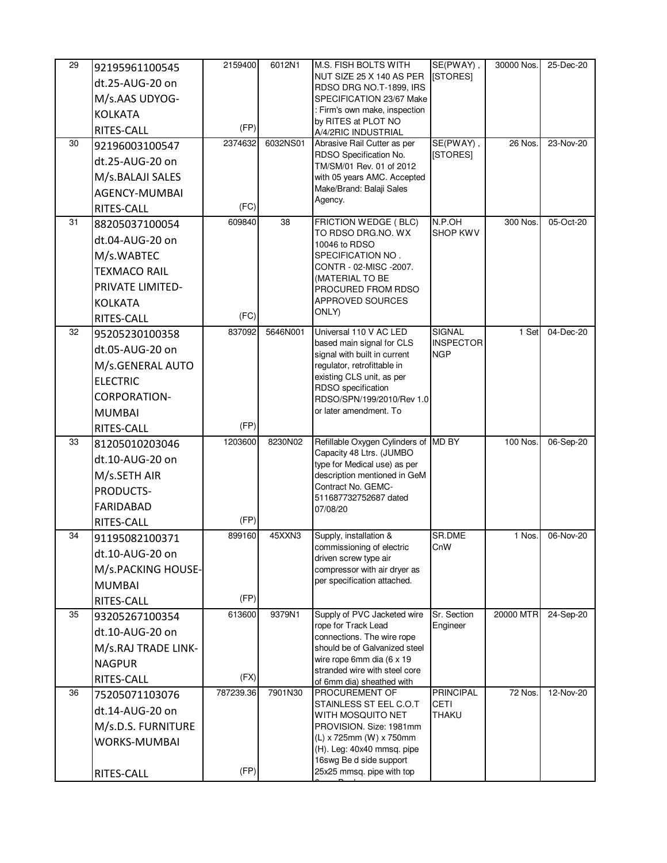| 29 | 92195961100545      | 2159400   | 6012N1   | <b>M.S. FISH BOLTS WITH</b>                                | SE(PWAY),                         | 30000 Nos. | 25-Dec-20 |
|----|---------------------|-----------|----------|------------------------------------------------------------|-----------------------------------|------------|-----------|
|    | dt.25-AUG-20 on     |           |          | NUT SIZE 25 X 140 AS PER<br>RDSO DRG NO.T-1899, IRS        | [STORES]                          |            |           |
|    | M/s.AAS UDYOG-      |           |          | SPECIFICATION 23/67 Make                                   |                                   |            |           |
|    | <b>KOLKATA</b>      |           |          | : Firm's own make, inspection                              |                                   |            |           |
|    | RITES-CALL          | (FP)      |          | by RITES at PLOT NO<br>A/4/2RIC INDUSTRIAL                 |                                   |            |           |
| 30 | 92196003100547      | 2374632   | 6032NS01 | Abrasive Rail Cutter as per                                | SE(PWAY),                         | 26 Nos.    | 23-Nov-20 |
|    | dt.25-AUG-20 on     |           |          | RDSO Specification No.<br>TM/SM/01 Rev. 01 of 2012         | [STORES]                          |            |           |
|    | M/s.BALAJI SALES    |           |          | with 05 years AMC. Accepted                                |                                   |            |           |
|    | AGENCY-MUMBAI       |           |          | Make/Brand: Balaji Sales                                   |                                   |            |           |
|    | RITES-CALL          | (FC)      |          | Agency.                                                    |                                   |            |           |
| 31 | 88205037100054      | 609840    | 38       | FRICTION WEDGE (BLC)                                       | N.P.OH                            | 300 Nos.   | 05-Oct-20 |
|    | dt.04-AUG-20 on     |           |          | TO RDSO DRG.NO. WX<br>10046 to RDSO                        | <b>SHOP KWV</b>                   |            |           |
|    | M/s.WABTEC          |           |          | SPECIFICATION NO.                                          |                                   |            |           |
|    | <b>TEXMACO RAIL</b> |           |          | CONTR - 02-MISC -2007.<br>(MATERIAL TO BE                  |                                   |            |           |
|    | PRIVATE LIMITED-    |           |          | PROCURED FROM RDSO                                         |                                   |            |           |
|    | <b>KOLKATA</b>      |           |          | APPROVED SOURCES                                           |                                   |            |           |
|    | RITES-CALL          | (FC)      |          | ONLY)                                                      |                                   |            |           |
| 32 | 95205230100358      | 837092    | 5646N001 | Universal 110 V AC LED                                     | <b>SIGNAL</b><br><b>INSPECTOR</b> | 1 Set      | 04-Dec-20 |
|    | dt.05-AUG-20 on     |           |          | based main signal for CLS<br>signal with built in current  | <b>NGP</b>                        |            |           |
|    | M/s.GENERAL AUTO    |           |          | regulator, retrofittable in                                |                                   |            |           |
|    | <b>ELECTRIC</b>     |           |          | existing CLS unit, as per<br>RDSO specification            |                                   |            |           |
|    | <b>CORPORATION-</b> |           |          | RDSO/SPN/199/2010/Rev 1.0                                  |                                   |            |           |
|    | <b>MUMBAI</b>       |           |          | or later amendment. To                                     |                                   |            |           |
|    | RITES-CALL          | (FP)      |          |                                                            |                                   |            |           |
| 33 | 81205010203046      | 1203600   | 8230N02  | Refillable Oxygen Cylinders of MD BY                       |                                   | 100 Nos.   | 06-Sep-20 |
|    | dt.10-AUG-20 on     |           |          | Capacity 48 Ltrs. (JUMBO<br>type for Medical use) as per   |                                   |            |           |
|    | M/s.SETH AIR        |           |          | description mentioned in GeM                               |                                   |            |           |
|    | PRODUCTS-           |           |          | Contract No. GEMC-<br>511687732752687 dated                |                                   |            |           |
|    | <b>FARIDABAD</b>    |           |          | 07/08/20                                                   |                                   |            |           |
|    | RITES-CALL          | (FP)      |          |                                                            |                                   |            |           |
| 34 | 91195082100371      | 899160    | 45XXN3   | Supply, installation &                                     | SR.DME                            | 1 Nos.     | 06-Nov-20 |
|    | dt.10-AUG-20 on     |           |          | commissioning of electric<br>driven screw type air         | CnW                               |            |           |
|    | M/s.PACKING HOUSE-  |           |          | compressor with air dryer as                               |                                   |            |           |
|    | <b>MUMBAI</b>       |           |          | per specification attached.                                |                                   |            |           |
|    | RITES-CALL          | (FP)      |          |                                                            |                                   |            |           |
| 35 | 93205267100354      | 613600    | 9379N1   | Supply of PVC Jacketed wire<br>rope for Track Lead         | Sr. Section<br>Engineer           | 20000 MTR  | 24-Sep-20 |
|    | dt.10-AUG-20 on     |           |          | connections. The wire rope                                 |                                   |            |           |
|    | M/s.RAJ TRADE LINK- |           |          | should be of Galvanized steel                              |                                   |            |           |
|    | <b>NAGPUR</b>       |           |          | wire rope 6mm dia (6 x 19<br>stranded wire with steel core |                                   |            |           |
|    | RITES-CALL          | (FX)      |          | of 6mm dia) sheathed with                                  |                                   |            |           |
| 36 | 75205071103076      | 787239.36 | 7901N30  | PROCUREMENT OF<br>STAINLESS ST EEL C.O.T                   | <b>PRINCIPAL</b><br>CETI          | 72 Nos.    | 12-Nov-20 |
|    | dt.14-AUG-20 on     |           |          | WITH MOSQUITO NET                                          | <b>THAKU</b>                      |            |           |
|    | M/s.D.S. FURNITURE  |           |          | PROVISION. Size: 1981mm                                    |                                   |            |           |
|    | <b>WORKS-MUMBAI</b> |           |          | (L) x 725mm (W) x 750mm<br>(H). Leg: 40x40 mmsq. pipe      |                                   |            |           |
|    |                     |           |          | 16swg Be d side support                                    |                                   |            |           |
|    | RITES-CALL          | (FP)      |          | 25x25 mmsq. pipe with top                                  |                                   |            |           |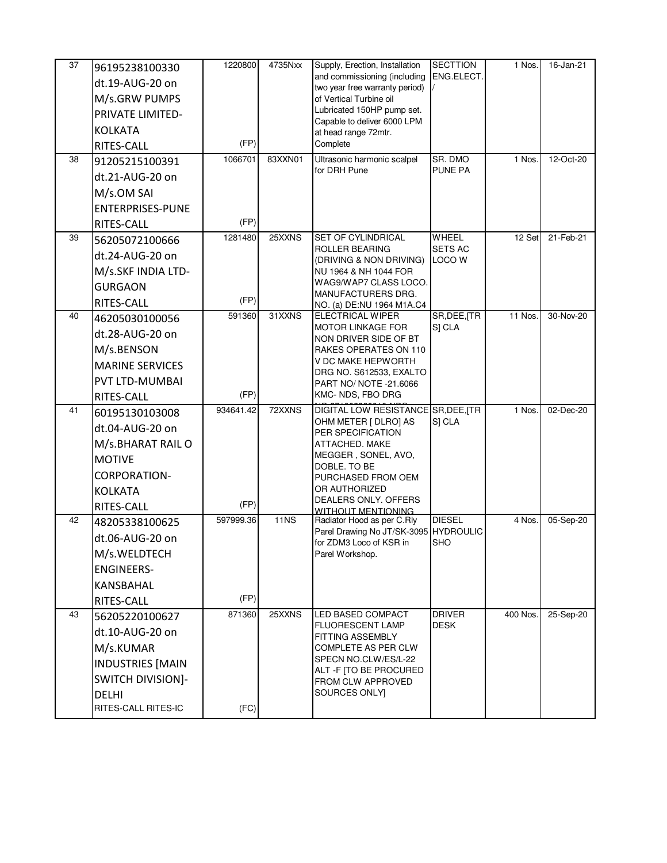| 37<br>38 | 96195238100330<br>dt.19-AUG-20 on<br>M/s.GRW PUMPS<br>PRIVATE LIMITED-<br><b>KOLKATA</b><br>RITES-CALL<br>91205215100391                     | 1220800<br>(FP)<br>1066701 | 4735Nxx<br>83XXN01 | Supply, Erection, Installation<br>and commissioning (including<br>two year free warranty period)<br>of Vertical Turbine oil<br>Lubricated 150HP pump set.<br>Capable to deliver 6000 LPM<br>at head range 72mtr.<br>Complete<br>Ultrasonic harmonic scalpel<br>for DRH Pune | <b>SECTTION</b><br>ENG.ELECT.<br>SR. DMO<br><b>PUNE PA</b> | 1 Nos.<br>1 Nos. | 16-Jan-21<br>12-Oct-20 |
|----------|----------------------------------------------------------------------------------------------------------------------------------------------|----------------------------|--------------------|-----------------------------------------------------------------------------------------------------------------------------------------------------------------------------------------------------------------------------------------------------------------------------|------------------------------------------------------------|------------------|------------------------|
|          | dt.21-AUG-20 on<br>M/s.OM SAI<br><b>ENTERPRISES-PUNE</b><br>RITES-CALL                                                                       | (FP)                       |                    |                                                                                                                                                                                                                                                                             |                                                            |                  |                        |
| 39       | 56205072100666<br>dt.24-AUG-20 on<br>M/s.SKF INDIA LTD-<br><b>GURGAON</b><br>RITES-CALL                                                      | 1281480<br>(FP)            | 25XXNS             | SET OF CYLINDRICAL<br><b>ROLLER BEARING</b><br>(DRIVING & NON DRIVING)<br>NU 1964 & NH 1044 FOR<br>WAG9/WAP7 CLASS LOCO.<br>MANUFACTURERS DRG.<br>NO. (a) DE:NU 1964 M1A.C4                                                                                                 | WHEEL<br><b>SETS AC</b><br>LOCO W                          | 12 Set           | 21-Feb-21              |
| 40       | 46205030100056<br>dt.28-AUG-20 on<br>M/s.BENSON<br><b>MARINE SERVICES</b><br>PVT LTD-MUMBAI<br>RITES-CALL                                    | 591360<br>(FP)             | 31XXNS             | <b>ELECTRICAL WIPER</b><br><b>MOTOR LINKAGE FOR</b><br>NON DRIVER SIDE OF BT<br>RAKES OPERATES ON 110<br>V DC MAKE HEPWORTH<br>DRG NO. S612533, EXALTO<br>PART NO/ NOTE -21.6066<br>KMC- NDS, FBO DRG                                                                       | SR, DEE, [TR<br>S] CLA                                     | 11 Nos.          | 30-Nov-20              |
| 41       | 60195130103008<br>dt.04-AUG-20 on<br>M/s.BHARAT RAIL O<br><b>MOTIVE</b><br><b>CORPORATION-</b><br><b>KOLKATA</b><br>RITES-CALL               | 934641.42<br>(FP)          | 72XXNS             | DIGITAL LOW RESISTANCE SR, DEE, TR<br>OHM METER [ DLRO] AS<br>PER SPECIFICATION<br>ATTACHED. MAKE<br>MEGGER, SONEL, AVO,<br>DOBLE. TO BE<br>PURCHASED FROM OEM<br>OR AUTHORIZED<br>DEALERS ONLY. OFFERS<br><b>WITHOUT MENTIONING</b>                                        | S] CLA                                                     | 1 Nos.           | 02-Dec-20              |
| 42       | 48205338100625<br>dt.06-AUG-20 on<br>M/s.WELDTECH<br><b>ENGINEERS-</b><br>KANSBAHAL<br>RITES-CALL                                            | 597999.36<br>(FP)          | <b>11NS</b>        | Radiator Hood as per C.Rly<br>Parel Drawing No JT/SK-3095 HYDROULIC<br>for ZDM3 Loco of KSR in<br>Parel Workshop.                                                                                                                                                           | <b>DIESEL</b><br><b>SHO</b>                                | 4 Nos.           | 05-Sep-20              |
| 43       | 56205220100627<br>dt.10-AUG-20 on<br>M/s.KUMAR<br><b>INDUSTRIES [MAIN</b><br><b>SWITCH DIVISION]-</b><br><b>DELHI</b><br>RITES-CALL RITES-IC | 871360<br>(FC)             | 25XXNS             | LED BASED COMPACT<br><b>FLUORESCENT LAMP</b><br>FITTING ASSEMBLY<br>COMPLETE AS PER CLW<br>SPECN NO.CLW/ES/L-22<br>ALT -F ITO BE PROCURED<br>FROM CLW APPROVED<br>SOURCES ONLY]                                                                                             | <b>DRIVER</b><br><b>DESK</b>                               | 400 Nos.         | 25-Sep-20              |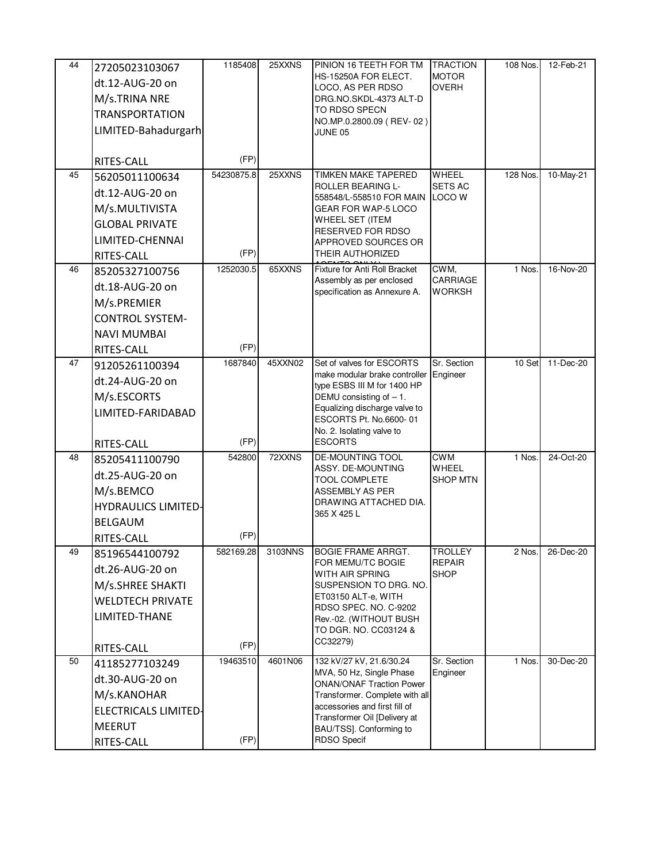| 44 | 27205023103067              | 1185408    | 25XXNS  | PINION 16 TEETH FOR TM                                              | <b>TRACTION</b>                 | 108 Nos. | 12-Feb-21 |
|----|-----------------------------|------------|---------|---------------------------------------------------------------------|---------------------------------|----------|-----------|
|    | dt.12-AUG-20 on             |            |         | HS-15250A FOR ELECT.                                                | <b>MOTOR</b><br><b>OVERH</b>    |          |           |
|    | M/s.TRINA NRE               |            |         | LOCO, AS PER RDSO<br>DRG.NO.SKDL-4373 ALT-D                         |                                 |          |           |
|    | <b>TRANSPORTATION</b>       |            |         | TO RDSO SPECN                                                       |                                 |          |           |
|    | LIMITED-Bahadurgarh         |            |         | NO.MP.0.2800.09 (REV-02)<br>JUNE 05                                 |                                 |          |           |
|    |                             |            |         |                                                                     |                                 |          |           |
|    | RITES-CALL                  | (FP)       |         |                                                                     |                                 |          |           |
| 45 | 56205011100634              | 54230875.8 | 25XXNS  | <b>TIMKEN MAKE TAPERED</b><br>ROLLER BEARING L-                     | <b>WHEEL</b><br><b>SETS AC</b>  | 128 Nos. | 10-May-21 |
|    | dt.12-AUG-20 on             |            |         | 558548/L-558510 FOR MAIN                                            | <b>LOCO W</b>                   |          |           |
|    | M/s.MULTIVISTA              |            |         | <b>GEAR FOR WAP-5 LOCO</b>                                          |                                 |          |           |
|    | <b>GLOBAL PRIVATE</b>       |            |         | WHEEL SET (ITEM<br>RESERVED FOR RDSO                                |                                 |          |           |
|    | LIMITED-CHENNAI             |            |         | APPROVED SOURCES OR                                                 |                                 |          |           |
|    | RITES-CALL                  | (FP)       |         | <b>THEIR AUTHORIZED</b>                                             |                                 |          |           |
| 46 | 85205327100756              | 1252030.5  | 65XXNS  | Fixture for Anti Roll Bracket<br>Assembly as per enclosed           | CWM,<br>CARRIAGE                | 1 Nos.   | 16-Nov-20 |
|    | dt.18-AUG-20 on             |            |         | specification as Annexure A.                                        | WORKSH                          |          |           |
|    | M/s.PREMIER                 |            |         |                                                                     |                                 |          |           |
|    | <b>CONTROL SYSTEM-</b>      |            |         |                                                                     |                                 |          |           |
|    | <b>NAVI MUMBAI</b>          |            |         |                                                                     |                                 |          |           |
|    | RITES-CALL                  | (FP)       |         |                                                                     |                                 |          |           |
| 47 | 91205261100394              | 1687840    | 45XXN02 | Set of valves for ESCORTS<br>make modular brake controller Engineer | Sr. Section                     | 10 Set   | 11-Dec-20 |
|    | dt.24-AUG-20 on             |            |         | type ESBS III M for 1400 HP                                         |                                 |          |           |
|    | M/s.ESCORTS                 |            |         | DEMU consisting of $-1$ .                                           |                                 |          |           |
|    | LIMITED-FARIDABAD           |            |         | Equalizing discharge valve to<br>ESCORTS Pt. No.6600-01             |                                 |          |           |
|    |                             |            |         | No. 2. Isolating valve to                                           |                                 |          |           |
|    | RITES-CALL                  | (FP)       |         | <b>ESCORTS</b>                                                      |                                 |          |           |
| 48 | 85205411100790              | 542800     | 72XXNS  | <b>DE-MOUNTING TOOL</b><br>ASSY. DE-MOUNTING                        | <b>CWM</b><br>WHEEL             | 1 Nos.   | 24-Oct-20 |
|    | dt.25-AUG-20 on             |            |         | <b>TOOL COMPLETE</b>                                                | <b>SHOP MTN</b>                 |          |           |
|    | M/s.BEMCO                   |            |         | <b>ASSEMBLY AS PER</b>                                              |                                 |          |           |
|    | <b>HYDRAULICS LIMITED-</b>  |            |         | DRAWING ATTACHED DIA.<br>365 X 425 L                                |                                 |          |           |
|    | <b>BELGAUM</b>              |            |         |                                                                     |                                 |          |           |
|    | RITES-CALL                  | (FP)       |         |                                                                     |                                 |          |           |
| 49 | 85196544100792              | 582169.28  | 3103NNS | <b>BOGIE FRAME ARRGT.</b><br>FOR MEMU/TC BOGIE                      | <b>TROLLEY</b><br><b>REPAIR</b> | 2 Nos.   | 26-Dec-20 |
|    | dt.26-AUG-20 on             |            |         | WITH AIR SPRING                                                     | <b>SHOP</b>                     |          |           |
|    | M/s.SHREE SHAKTI            |            |         | SUSPENSION TO DRG. NO.                                              |                                 |          |           |
|    | <b>WELDTECH PRIVATE</b>     |            |         | ET03150 ALT-e, WITH<br>RDSO SPEC. NO. C-9202                        |                                 |          |           |
|    | LIMITED-THANE               |            |         | Rev.-02. (WITHOUT BUSH                                              |                                 |          |           |
|    |                             |            |         | TO DGR. NO. CC03124 &                                               |                                 |          |           |
|    | RITES-CALL                  | (FP)       |         | CC32279)                                                            |                                 |          |           |
| 50 | 41185277103249              | 19463510   | 4601N06 | 132 kV/27 kV, 21.6/30.24<br>MVA, 50 Hz, Single Phase                | Sr. Section<br>Engineer         | 1 Nos.   | 30-Dec-20 |
|    | dt.30-AUG-20 on             |            |         | <b>ONAN/ONAF Traction Power</b>                                     |                                 |          |           |
|    | M/s.KANOHAR                 |            |         | Transformer. Complete with all                                      |                                 |          |           |
|    | <b>ELECTRICALS LIMITED-</b> |            |         | accessories and first fill of<br>Transformer Oil [Delivery at       |                                 |          |           |
|    | <b>MEERUT</b>               |            |         | BAU/TSS]. Conforming to                                             |                                 |          |           |
|    | RITES-CALL                  | (FP)       |         | <b>RDSO Specif</b>                                                  |                                 |          |           |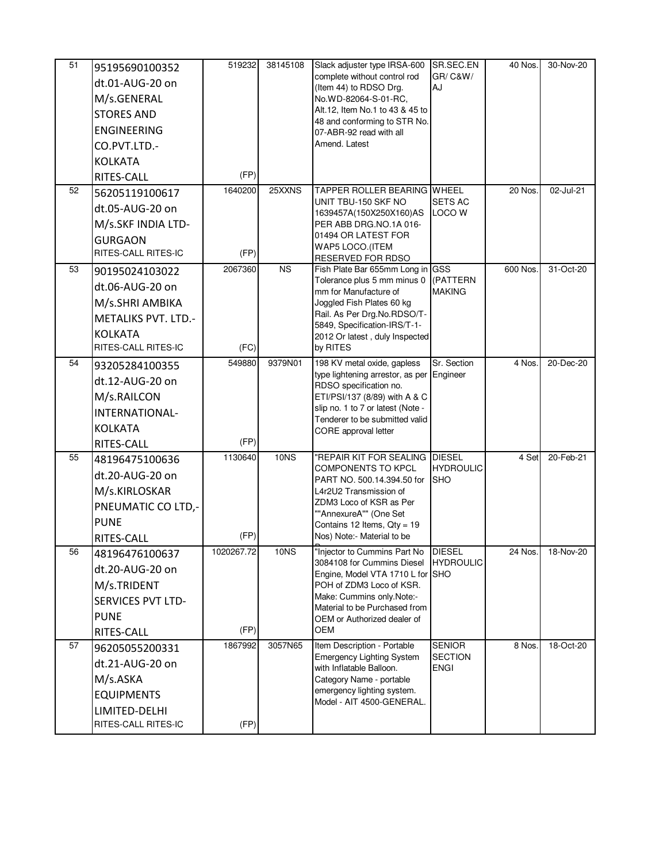| 51<br>52 | 95195690100352<br>dt.01-AUG-20 on<br>M/s.GENERAL<br><b>STORES AND</b><br><b>ENGINEERING</b><br>CO.PVT.LTD.-<br><b>KOLKATA</b><br>RITES-CALL<br>56205119100617 | 519232<br>(FP)<br>1640200 | 38145108<br>25XXNS | Slack adjuster type IRSA-600<br>complete without control rod<br>(Item 44) to RDSO Drg.<br>No.WD-82064-S-01-RC,<br>Alt.12, Item No.1 to 43 & 45 to<br>48 and conforming to STR No.<br>07-ABR-92 read with all<br>Amend. Latest<br><b>TAPPER ROLLER BEARING WHEEL</b> | SR.SEC.EN<br>GR/ C&W/<br>AJ                    | 40 Nos.<br>20 Nos. | 30-Nov-20<br>02-Jul-21 |
|----------|---------------------------------------------------------------------------------------------------------------------------------------------------------------|---------------------------|--------------------|---------------------------------------------------------------------------------------------------------------------------------------------------------------------------------------------------------------------------------------------------------------------|------------------------------------------------|--------------------|------------------------|
|          | dt.05-AUG-20 on<br>M/s.SKF INDIA LTD-<br><b>GURGAON</b><br>RITES-CALL RITES-IC                                                                                | (FP)                      |                    | UNIT TBU-150 SKF NO<br>1639457A(150X250X160)AS<br>PER ABB DRG.NO.1A 016-<br>01494 OR LATEST FOR<br>WAP5 LOCO.(ITEM<br><b>RESERVED FOR RDSO</b>                                                                                                                      | <b>SETS AC</b><br>LOCO W                       |                    |                        |
| 53       | 90195024103022<br>dt.06-AUG-20 on<br>M/s.SHRI AMBIKA<br><b>METALIKS PVT. LTD.-</b><br><b>KOLKATA</b><br>RITES-CALL RITES-IC                                   | 2067360<br>(FC)           | <b>NS</b>          | Fish Plate Bar 655mm Long in GSS<br>Tolerance plus 5 mm minus 0<br>mm for Manufacture of<br>Joggled Fish Plates 60 kg<br>Rail. As Per Drg.No.RDSO/T-<br>5849, Specification-IRS/T-1-<br>2012 Or latest, duly Inspected<br>by RITES                                  | (PATTERN<br><b>MAKING</b>                      | 600 Nos.           | 31-Oct-20              |
| 54       | 93205284100355<br>dt.12-AUG-20 on<br>M/s.RAILCON<br>INTERNATIONAL-<br><b>KOLKATA</b><br>RITES-CALL                                                            | 549880<br>(FP)            | 9379N01            | 198 KV metal oxide, gapless<br>type lightening arrestor, as per Engineer<br>RDSO specification no.<br>ETI/PSI/137 (8/89) with A & C<br>slip no. 1 to 7 or latest (Note -<br>Tenderer to be submitted valid<br>CORE approval letter                                  | Sr. Section                                    | 4 Nos.             | 20-Dec-20              |
| 55       | 48196475100636<br>dt.20-AUG-20 on<br>M/s.KIRLOSKAR<br>PNEUMATIC CO LTD,-<br><b>PUNE</b><br>RITES-CALL                                                         | 1130640<br>(FP)           | <b>10NS</b>        | "REPAIR KIT FOR SEALING DIESEL<br><b>COMPONENTS TO KPCL</b><br>PART NO. 500.14.394.50 for<br>L4r2U2 Transmission of<br>ZDM3 Loco of KSR as Per<br>""AnnexureA"" (One Set<br>Contains 12 Items, $Qty = 19$<br>Nos) Note:- Material to be                             | <b>HYDROULIC</b><br><b>SHO</b>                 | 4 Set              | 20-Feb-21              |
| 56       | 48196476100637<br>dt.20-AUG-20 on<br>M/s.TRIDENT<br><b>SERVICES PVT LTD-</b><br><b>PUNE</b><br>RITES-CALL                                                     | 1020267.72<br>(FP)        | 10 <sub>N</sub>    | "Injector to Cummins Part No<br>3084108 for Cummins Diesel<br>Engine, Model VTA 1710 L for SHO<br>POH of ZDM3 Loco of KSR.<br>Make: Cummins only.Note:-<br>Material to be Purchased from<br>OEM or Authorized dealer of<br>OEM                                      | <b>DIESEL</b><br><b>HYDROULIC</b>              | 24 Nos.            | 18-Nov-20              |
| 57       | 96205055200331<br>dt.21-AUG-20 on<br>M/s.ASKA<br><b>EQUIPMENTS</b><br>LIMITED-DELHI<br>RITES-CALL RITES-IC                                                    | 1867992<br>(FP)           | 3057N65            | Item Description - Portable<br><b>Emergency Lighting System</b><br>with Inflatable Balloon.<br>Category Name - portable<br>emergency lighting system.<br>Model - AIT 4500-GENERAL.                                                                                  | <b>SENIOR</b><br><b>SECTION</b><br><b>ENGI</b> | 8 Nos.             | 18-Oct-20              |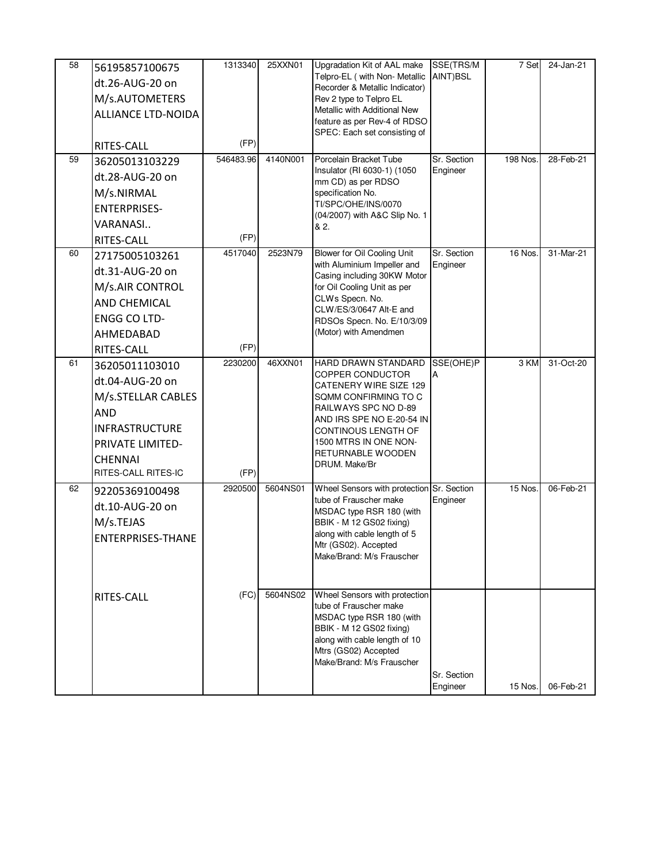| 58 | 56195857100675           | 1313340   | 25XXN01  | Upgradation Kit of AAL make                                         | SSE(TRS/M               | 7 Set    | 24-Jan-21 |
|----|--------------------------|-----------|----------|---------------------------------------------------------------------|-------------------------|----------|-----------|
|    | dt.26-AUG-20 on          |           |          | Telpro-EL (with Non- Metallic<br>Recorder & Metallic Indicator)     | AINT)BSL                |          |           |
|    | M/s.AUTOMETERS           |           |          | Rev 2 type to Telpro EL                                             |                         |          |           |
|    | ALLIANCE LTD-NOIDA       |           |          | Metallic with Additional New<br>feature as per Rev-4 of RDSO        |                         |          |           |
|    |                          |           |          | SPEC: Each set consisting of                                        |                         |          |           |
|    | RITES-CALL               | (FP)      |          |                                                                     |                         |          |           |
| 59 | 36205013103229           | 546483.96 | 4140N001 | Porcelain Bracket Tube                                              | Sr. Section             | 198 Nos. | 28-Feb-21 |
|    | dt.28-AUG-20 on          |           |          | Insulator (RI 6030-1) (1050<br>mm CD) as per RDSO                   | Engineer                |          |           |
|    | M/s.NIRMAL               |           |          | specification No.                                                   |                         |          |           |
|    | <b>ENTERPRISES-</b>      |           |          | TI/SPC/OHE/INS/0070<br>(04/2007) with A&C Slip No. 1                |                         |          |           |
|    | VARANASI                 |           |          | & 2.                                                                |                         |          |           |
|    | RITES-CALL               | (FP)      |          |                                                                     |                         |          |           |
| 60 | 27175005103261           | 4517040   | 2523N79  | Blower for Oil Cooling Unit<br>with Aluminium Impeller and          | Sr. Section<br>Engineer | 16 Nos.  | 31-Mar-21 |
|    | dt.31-AUG-20 on          |           |          | Casing including 30KW Motor                                         |                         |          |           |
|    | M/s.AIR CONTROL          |           |          | for Oil Cooling Unit as per                                         |                         |          |           |
|    | <b>AND CHEMICAL</b>      |           |          | CLWs Specn. No.<br>CLW/ES/3/0647 Alt-E and                          |                         |          |           |
|    | <b>ENGG CO LTD-</b>      |           |          | RDSOs Specn. No. E/10/3/09                                          |                         |          |           |
|    | AHMEDABAD                |           |          | (Motor) with Amendmen                                               |                         |          |           |
|    | RITES-CALL               | (FP)      |          |                                                                     |                         |          |           |
| 61 | 36205011103010           | 2230200   | 46XXN01  | HARD DRAWN STANDARD                                                 | SSE(OHE)P               | 3 KM     | 31-Oct-20 |
|    | dt.04-AUG-20 on          |           |          | COPPER CONDUCTOR<br>CATENERY WIRE SIZE 129                          |                         |          |           |
|    | M/s.STELLAR CABLES       |           |          | SQMM CONFIRMING TO C                                                |                         |          |           |
|    | <b>AND</b>               |           |          | RAILWAYS SPC NO D-89<br>AND IRS SPE NO E-20-54 IN                   |                         |          |           |
|    | <b>INFRASTRUCTURE</b>    |           |          | CONTINOUS LENGTH OF                                                 |                         |          |           |
|    | PRIVATE LIMITED-         |           |          | 1500 MTRS IN ONE NON-                                               |                         |          |           |
|    | <b>CHENNAI</b>           |           |          | RETURNABLE WOODEN<br>DRUM. Make/Br                                  |                         |          |           |
|    | RITES-CALL RITES-IC      | (FP)      |          |                                                                     |                         |          |           |
| 62 | 92205369100498           | 2920500   | 5604NS01 | Wheel Sensors with protection Sr. Section<br>tube of Frauscher make | Engineer                | 15 Nos.  | 06-Feb-21 |
|    | dt.10-AUG-20 on          |           |          | MSDAC type RSR 180 (with                                            |                         |          |           |
|    | M/s.TEJAS                |           |          | BBIK - M 12 GS02 fixing)                                            |                         |          |           |
|    | <b>ENTERPRISES-THANE</b> |           |          | along with cable length of 5<br>Mtr (GS02). Accepted                |                         |          |           |
|    |                          |           |          | Make/Brand: M/s Frauscher                                           |                         |          |           |
|    |                          |           |          |                                                                     |                         |          |           |
|    |                          |           | 5604NS02 |                                                                     |                         |          |           |
|    | RITES-CALL               | (FC)      |          | Wheel Sensors with protection<br>tube of Frauscher make             |                         |          |           |
|    |                          |           |          | MSDAC type RSR 180 (with                                            |                         |          |           |
|    |                          |           |          | BBIK - M 12 GS02 fixing)<br>along with cable length of 10           |                         |          |           |
|    |                          |           |          | Mtrs (GS02) Accepted                                                |                         |          |           |
|    |                          |           |          | Make/Brand: M/s Frauscher                                           |                         |          |           |
|    |                          |           |          |                                                                     | Sr. Section<br>Engineer | 15 Nos.  | 06-Feb-21 |
|    |                          |           |          |                                                                     |                         |          |           |